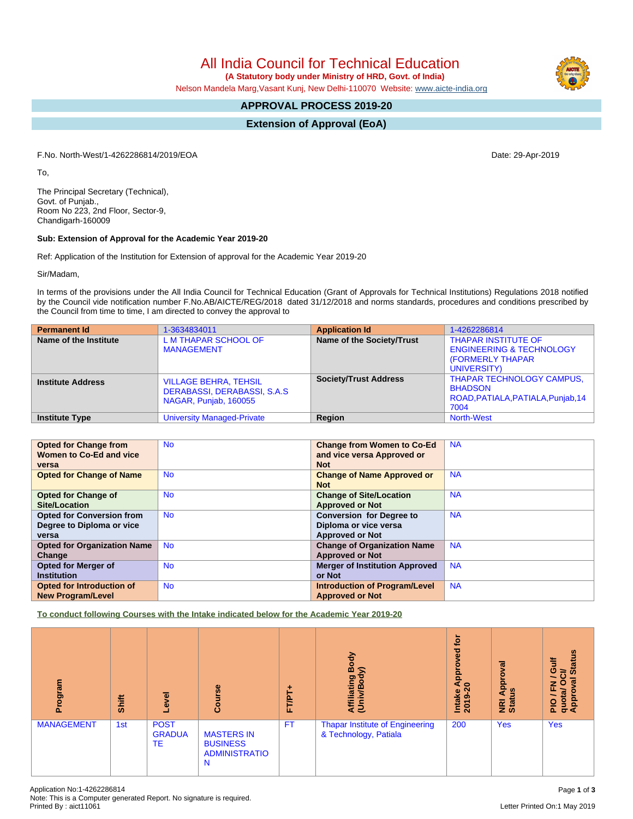All India Council for Technical Education

 **(A Statutory body under Ministry of HRD, Govt. of India)**

Nelson Mandela Marg,Vasant Kunj, New Delhi-110070 Website: [www.aicte-india.org](http://www.aicte-india.org)

# **APPROVAL PROCESS 2019-20**

**Extension of Approval (EoA)**

F.No. North-West/1-4262286814/2019/EOA Date: 29-Apr-2019

To,

The Principal Secretary (Technical), Govt. of Punjab., Room No 223, 2nd Floor, Sector-9, Chandigarh-160009

### **Sub: Extension of Approval for the Academic Year 2019-20**

Ref: Application of the Institution for Extension of approval for the Academic Year 2019-20

Sir/Madam,

In terms of the provisions under the All India Council for Technical Education (Grant of Approvals for Technical Institutions) Regulations 2018 notified by the Council vide notification number F.No.AB/AICTE/REG/2018 dated 31/12/2018 and norms standards, procedures and conditions prescribed by the Council from time to time, I am directed to convey the approval to

| <b>Permanent Id</b>      | 1-3634834011                                                                          | <b>Application Id</b>        | 1-4262286814                                                                                                |
|--------------------------|---------------------------------------------------------------------------------------|------------------------------|-------------------------------------------------------------------------------------------------------------|
| Name of the Institute    | <b>LM THAPAR SCHOOL OF</b><br><b>MANAGEMENT</b>                                       | Name of the Society/Trust    | <b>THAPAR INSTITUTE OF</b><br><b>ENGINEERING &amp; TECHNOLOGY</b><br><b>(FORMERLY THAPAR</b><br>UNIVERSITY) |
| <b>Institute Address</b> | <b>VILLAGE BEHRA, TEHSIL</b><br>DERABASSI, DERABASSI, S.A.S.<br>NAGAR, Punjab, 160055 | <b>Society/Trust Address</b> | <b>THAPAR TECHNOLOGY CAMPUS,</b><br><b>BHADSON</b><br>ROAD, PATIALA, PATIALA, Punjab, 14<br>7004            |
| <b>Institute Type</b>    | <b>University Managed-Private</b>                                                     | Region                       | <b>North-West</b>                                                                                           |

| <b>Opted for Change from</b>       | <b>No</b> | <b>Change from Women to Co-Ed</b>     | <b>NA</b> |
|------------------------------------|-----------|---------------------------------------|-----------|
| Women to Co-Ed and vice            |           | and vice versa Approved or            |           |
| versa                              |           | <b>Not</b>                            |           |
| <b>Opted for Change of Name</b>    | <b>No</b> | <b>Change of Name Approved or</b>     | <b>NA</b> |
|                                    |           | <b>Not</b>                            |           |
| <b>Opted for Change of</b>         | <b>No</b> | <b>Change of Site/Location</b>        | <b>NA</b> |
| Site/Location                      |           | <b>Approved or Not</b>                |           |
| <b>Opted for Conversion from</b>   | <b>No</b> | <b>Conversion for Degree to</b>       | <b>NA</b> |
| Degree to Diploma or vice          |           | Diploma or vice versa                 |           |
| versa                              |           | <b>Approved or Not</b>                |           |
| <b>Opted for Organization Name</b> | <b>No</b> | <b>Change of Organization Name</b>    | <b>NA</b> |
| Change                             |           | <b>Approved or Not</b>                |           |
| Opted for Merger of                | <b>No</b> | <b>Merger of Institution Approved</b> | <b>NA</b> |
| <b>Institution</b>                 |           | or Not                                |           |
| <b>Opted for Introduction of</b>   | <b>No</b> | <b>Introduction of Program/Level</b>  | <b>NA</b> |
| <b>New Program/Level</b>           |           | <b>Approved or Not</b>                |           |

**To conduct following Courses with the Intake indicated below for the Academic Year 2019-20**

| rogram<br>ō.      | Shift | Level                              | Course                                                            | <b>FT/PT</b> | Body<br>⋦<br>Affiliating<br>(Univ/Body                          | <b>b</b><br>Approved<br>っ<br>Intake<br>ຶ<br>201 | ब्र<br><b>Appro</b><br><u>ળ</u><br><b>NRI</b> | <b>Status</b><br>븧<br>ō<br>ਨੋ<br>g<br>O<br>z<br>ц.<br>quota/<br>Approv<br>$\frac{1}{2}$ |
|-------------------|-------|------------------------------------|-------------------------------------------------------------------|--------------|-----------------------------------------------------------------|-------------------------------------------------|-----------------------------------------------|-----------------------------------------------------------------------------------------|
| <b>MANAGEMENT</b> | 1st   | <b>POST</b><br><b>GRADUA</b><br>TE | <b>MASTERS IN</b><br><b>BUSINESS</b><br><b>ADMINISTRATIO</b><br>N | <b>FT</b>    | <b>Thapar Institute of Engineering</b><br>& Technology, Patiala | 200                                             | <b>Yes</b>                                    | <b>Yes</b>                                                                              |